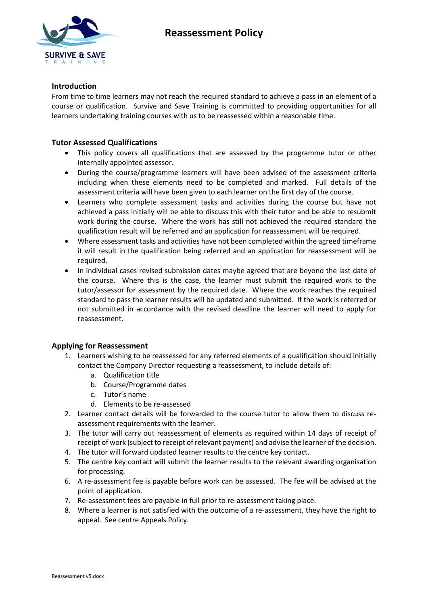



#### **Introduction**

From time to time learners may not reach the required standard to achieve a pass in an element of a course or qualification. Survive and Save Training is committed to providing opportunities for all learners undertaking training courses with us to be reassessed within a reasonable time.

### **Tutor Assessed Qualifications**

- This policy covers all qualifications that are assessed by the programme tutor or other internally appointed assessor.
- During the course/programme learners will have been advised of the assessment criteria including when these elements need to be completed and marked. Full details of the assessment criteria will have been given to each learner on the first day of the course.
- Learners who complete assessment tasks and activities during the course but have not achieved a pass initially will be able to discuss this with their tutor and be able to resubmit work during the course. Where the work has still not achieved the required standard the qualification result will be referred and an application for reassessment will be required.
- Where assessment tasks and activities have not been completed within the agreed timeframe it will result in the qualification being referred and an application for reassessment will be required.
- In individual cases revised submission dates maybe agreed that are beyond the last date of the course. Where this is the case, the learner must submit the required work to the tutor/assessor for assessment by the required date. Where the work reaches the required standard to pass the learner results will be updated and submitted. If the work is referred or not submitted in accordance with the revised deadline the learner will need to apply for reassessment.

## **Applying for Reassessment**

- 1. Learners wishing to be reassessed for any referred elements of a qualification should initially contact the Company Director requesting a reassessment, to include details of:
	- a. Qualification title
	- b. Course/Programme dates
	- c. Tutor's name
	- d. Elements to be re-assessed
- 2. Learner contact details will be forwarded to the course tutor to allow them to discuss reassessment requirements with the learner.
- 3. The tutor will carry out reassessment of elements as required within 14 days of receipt of receipt of work (subject to receipt of relevant payment) and advise the learner of the decision.
- 4. The tutor will forward updated learner results to the centre key contact.
- 5. The centre key contact will submit the learner results to the relevant awarding organisation for processing.
- 6. A re-assessment fee is payable before work can be assessed. The fee will be advised at the point of application.
- 7. Re-assessment fees are payable in full prior to re-assessment taking place.
- 8. Where a learner is not satisfied with the outcome of a re-assessment, they have the right to appeal. See centre Appeals Policy.